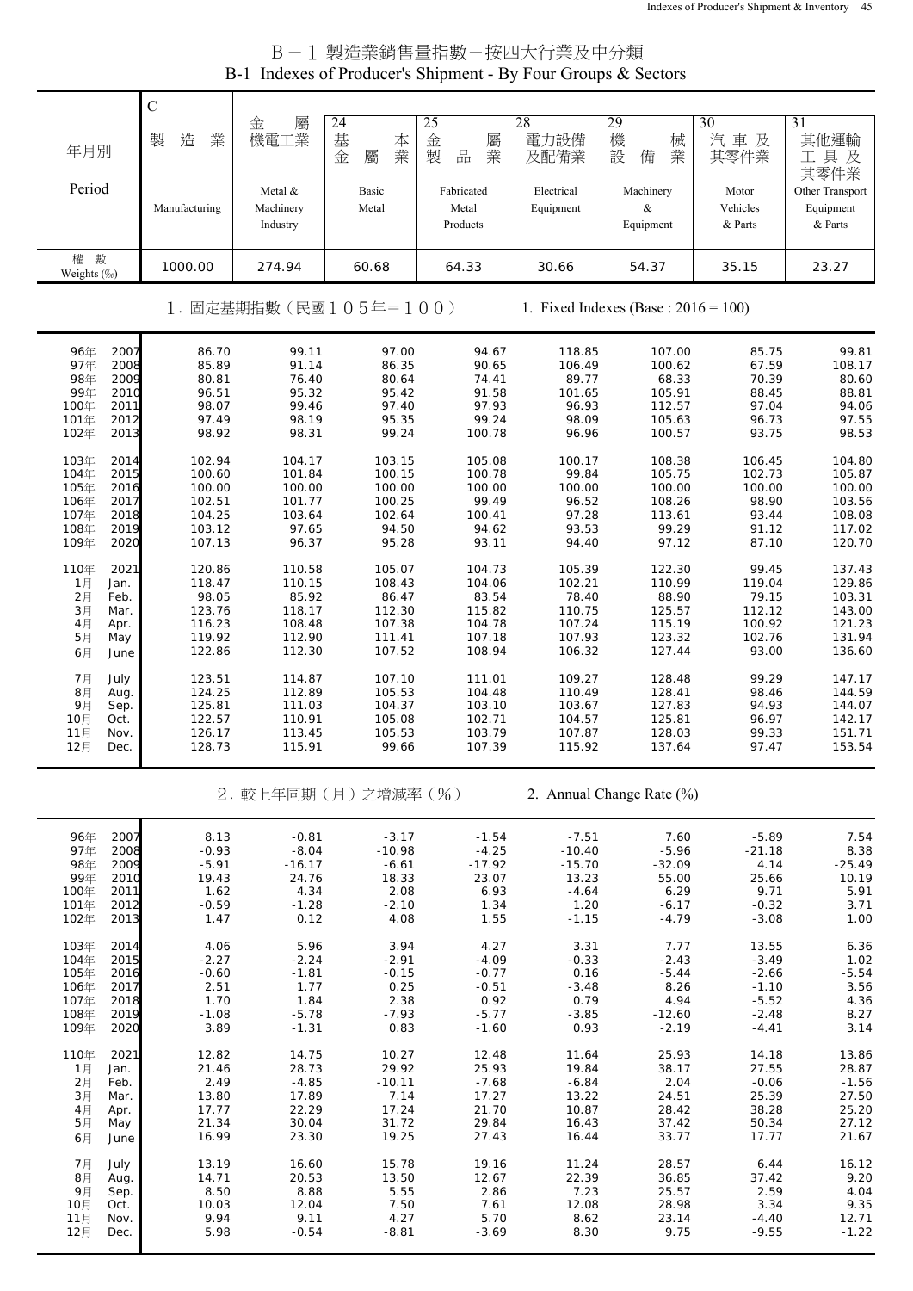## B-1 製造業銷售量指數-按四大行業及中分類 B-1 Indexes of Producer's Shipment - By Four Groups & Sectors

|                              | $\mathsf{C}$     |                                  |                             |                                 |                         |                                         |                              |                                         |
|------------------------------|------------------|----------------------------------|-----------------------------|---------------------------------|-------------------------|-----------------------------------------|------------------------------|-----------------------------------------|
| 年月別                          | 製<br>造<br>業      | 金<br>屬<br>機電工業                   | 24<br>基<br>本<br>業<br>金<br>屬 | 25<br>金<br>屬<br>製<br>品<br>業     | 28<br>電力設備<br>及配備業      | 29<br>機<br>械<br>設<br>備<br>業             | 30<br>汽車及<br>其零件業            | 31<br>其他運輸<br>工具及<br>其零件業               |
| Period                       | Manufacturing    | Metal &<br>Machinery<br>Industry | Basic<br>Metal              | Fabricated<br>Metal<br>Products | Electrical<br>Equipment | Machinery<br>&<br>Equipment             | Motor<br>Vehicles<br>& Parts | Other Transport<br>Equipment<br>& Parts |
| 數<br>權<br>Weights (%)        | 1000.00          | 274.94                           | 60.68                       | 64.33                           | 30.66                   | 54.37                                   | 35.15                        | 23.27                                   |
|                              |                  |                                  | 1. 固定基期指數(民國105年=100)       |                                 |                         | 1. Fixed Indexes (Base : $2016 = 100$ ) |                              |                                         |
| 2007<br>96年<br>2008<br>97年   | 86.70<br>85.89   | 99.11<br>91.14                   | 97.00<br>86.35              | 94.67<br>90.65                  | 118.85<br>106.49        | 107.00<br>100.62                        | 85.75<br>67.59               | 99.81<br>108.17                         |
| 98年<br>2009                  | 80.81            | 76.40                            | 80.64                       | 74.41                           | 89.77                   | 68.33                                   | 70.39                        | 80.60                                   |
| 99年<br>2010<br>2011<br>100年  | 96.51<br>98.07   | 95.32<br>99.46                   | 95.42<br>97.40              | 91.58<br>97.93                  | 101.65<br>96.93         | 105.91<br>112.57                        | 88.45<br>97.04               | 88.81<br>94.06                          |
| 101年<br>2012                 | 97.49            | 98.19                            | 95.35                       | 99.24                           | 98.09                   | 105.63                                  | 96.73                        | 97.55                                   |
| 2013<br>102年                 | 98.92            | 98.31                            | 99.24                       | 100.78                          | 96.96                   | 100.57                                  | 93.75                        | 98.53                                   |
| 2014<br>103年<br>104年<br>2015 | 102.94<br>100.60 | 104.17<br>101.84                 | 103.15<br>100.15            | 105.08<br>100.78                | 100.17<br>99.84         | 108.38<br>105.75                        | 106.45<br>102.73             | 104.80<br>105.87                        |
| 105年<br>2016                 | 100.00           | 100.00                           | 100.00                      | 100.00                          | 100.00                  | 100.00                                  | 100.00                       | 100.00                                  |
| 106年<br>2017<br>107年<br>2018 | 102.51           | 101.77                           | 100.25                      | 99.49                           | 96.52                   | 108.26                                  | 98.90                        | 103.56                                  |
| 108年<br>2019                 | 104.25<br>103.12 | 103.64<br>97.65                  | 102.64<br>94.50             | 100.41<br>94.62                 | 97.28<br>93.53          | 113.61<br>99.29                         | 93.44<br>91.12               | 108.08<br>117.02                        |
| 109年<br>2020                 | 107.13           | 96.37                            | 95.28                       | 93.11                           | 94.40                   | 97.12                                   | 87.10                        | 120.70                                  |
| 110年<br>2021                 | 120.86           | 110.58                           | 105.07                      | 104.73                          | 105.39                  | 122.30                                  | 99.45                        | 137.43                                  |
| 1月<br>Jan.<br>2月<br>Feb.     | 118.47<br>98.05  | 110.15<br>85.92                  | 108.43<br>86.47             | 104.06<br>83.54                 | 102.21<br>78.40         | 110.99<br>88.90                         | 119.04<br>79.15              | 129.86<br>103.31                        |
| $3$ 月<br>Mar.                | 123.76           | 118.17                           | 112.30                      | 115.82                          | 110.75                  | 125.57                                  | 112.12                       | 143.00                                  |
| 4月<br>Apr.<br>5月<br>May      | 116.23<br>119.92 | 108.48<br>112.90                 | 107.38<br>111.41            | 104.78<br>107.18                | 107.24<br>107.93        | 115.19<br>123.32                        | 100.92<br>102.76             | 121.23<br>131.94                        |
| 6月<br>June                   | 122.86           | 112.30                           | 107.52                      | 108.94                          | 106.32                  | 127.44                                  | 93.00                        | 136.60                                  |
| 7月<br>July                   | 123.51           | 114.87                           | 107.10                      | 111.01                          | 109.27                  | 128.48                                  | 99.29                        | 147.17                                  |
| 8月<br>Aug.                   | 124.25           | 112.89                           | 105.53                      | 104.48                          | 110.49                  | 128.41                                  | 98.46                        | 144.59                                  |
| 9月<br>Sep.<br>10月<br>Oct.    | 125.81<br>122.57 | 111.03<br>110.91                 | 104.37<br>105.08            | 103.10<br>102.71                | 103.67<br>104.57        | 127.83<br>125.81                        | 94.93<br>96.97               | 144.07<br>142.17                        |
| 11月<br>Nov.                  | 126.17           | 113.45                           | 105.53                      | 103.79<br>107.39                | 107.87                  | 128.03                                  | 99.33                        | 151.71                                  |
| 12月<br>Dec.                  | 128.73           | 115.91                           | 99.66                       |                                 | 115.92                  | 137.64                                  | 97.47                        | 153.54                                  |
|                              |                  |                                  | 2. 較上年同期(月)之增減率(%)          |                                 |                         | 2. Annual Change Rate (%)               |                              |                                         |
| 96年<br>2007                  | 8.13             | $-0.81$                          | $-3.17$                     | $-1.54$                         | $-7.51$                 | 7.60                                    | $-5.89$                      | 7.54                                    |
| 97年<br>2008<br>98年<br>2009   | $-0.93$          | $-8.04$                          | $-10.98$                    | $-4.25$                         | $-10.40$                | $-5.96$                                 | $-21.18$                     | 8.38                                    |
| 99年<br>2010                  | $-5.91$<br>19.43 | $-16.17$<br>24.76                | $-6.61$<br>18.33            | $-17.92$<br>23.07               | $-15.70$<br>13.23       | $-32.09$<br>55.00                       | 4.14<br>25.66                | $-25.49$<br>10.19                       |
| 100年<br>2011                 | 1.62             | 4.34                             | 2.08                        | 6.93                            | $-4.64$                 | 6.29                                    | 9.71                         | 5.91                                    |
| 101年<br>2012<br>102年<br>2013 | $-0.59$<br>1.47  | $-1.28$<br>0.12                  | $-2.10$<br>4.08             | 1.34<br>1.55                    | 1.20<br>$-1.15$         | $-6.17$<br>$-4.79$                      | $-0.32$<br>$-3.08$           | 3.71<br>1.00                            |
| 103年<br>2014                 | 4.06             | 5.96                             | 3.94                        | 4.27                            | 3.31                    | 7.77                                    | 13.55                        | 6.36                                    |
| 2015<br>104年                 | $-2.27$          | $-2.24$                          | $-2.91$                     | $-4.09$                         | $-0.33$                 | $-2.43$                                 | $-3.49$                      | 1.02                                    |
| 105年<br>2016                 | $-0.60$          | $-1.81$                          | $-0.15$                     | $-0.77$                         | 0.16                    | $-5.44$                                 | $-2.66$                      | $-5.54$                                 |
| 106年<br>2017<br>107年<br>2018 | 2.51<br>1.70     | 1.77<br>1.84                     | 0.25<br>2.38                | $-0.51$<br>0.92                 | $-3.48$<br>0.79         | 8.26<br>4.94                            | $-1.10$<br>$-5.52$           | 3.56<br>4.36                            |
| 108年<br>2019                 | $-1.08$          | $-5.78$                          | $-7.93$                     | $-5.77$                         | $-3.85$                 | $-12.60$                                | $-2.48$                      | 8.27                                    |
| 109年<br>2020                 | 3.89             | $-1.31$                          | 0.83                        | $-1.60$                         | 0.93                    | $-2.19$                                 | $-4.41$                      | 3.14                                    |
| 110年<br>2021<br>1月<br>Jan.   | 12.82<br>21.46   | 14.75<br>28.73                   | 10.27<br>29.92              | 12.48<br>25.93                  | 11.64<br>19.84          | 25.93<br>38.17                          | 14.18<br>27.55               | 13.86<br>28.87                          |
| 2月<br>Feb.                   | 2.49             | $-4.85$                          | $-10.11$                    | $-7.68$                         | $-6.84$                 | 2.04                                    | $-0.06$                      | $-1.56$                                 |
| 3月<br>Mar.                   | 13.80<br>17.77   | 17.89<br>22.29                   | 7.14<br>17.24               | 17.27<br>21.70                  | 13.22<br>10.87          | 24.51<br>28.42                          | 25.39<br>38.28               | 27.50                                   |
| 4月<br>Apr.<br>5月<br>May      | 21.34            | 30.04                            | 31.72                       | 29.84                           | 16.43                   | 37.42                                   | 50.34                        | 25.20<br>27.12                          |
| 6月<br>June                   | 16.99            | 23.30                            | 19.25                       | 27.43                           | 16.44                   | 33.77                                   | 17.77                        | 21.67                                   |
| 7月<br>July                   | 13.19            | 16.60                            | 15.78                       | 19.16                           | 11.24                   | 28.57                                   | 6.44                         | 16.12                                   |
| 8月<br>Aug.<br>9月<br>Sep.     | 14.71<br>8.50    | 20.53<br>8.88                    | 13.50<br>5.55               | 12.67<br>2.86                   | 22.39<br>7.23           | 36.85<br>25.57                          | 37.42<br>2.59                | 9.20<br>4.04                            |
| Oct.<br>10月                  | 10.03            | 12.04                            | 7.50                        | 7.61                            | 12.08                   | 28.98                                   | 3.34                         | 9.35                                    |
| 11月<br>Nov.                  | 9.94             | 9.11                             | 4.27                        | 5.70                            | 8.62                    | 23.14                                   | $-4.40$                      | 12.71                                   |
| 12月<br>Dec.                  | 5.98             | $-0.54$                          | $-8.81$                     | $-3.69$                         | 8.30                    | 9.75                                    | $-9.55$                      | $-1.22$                                 |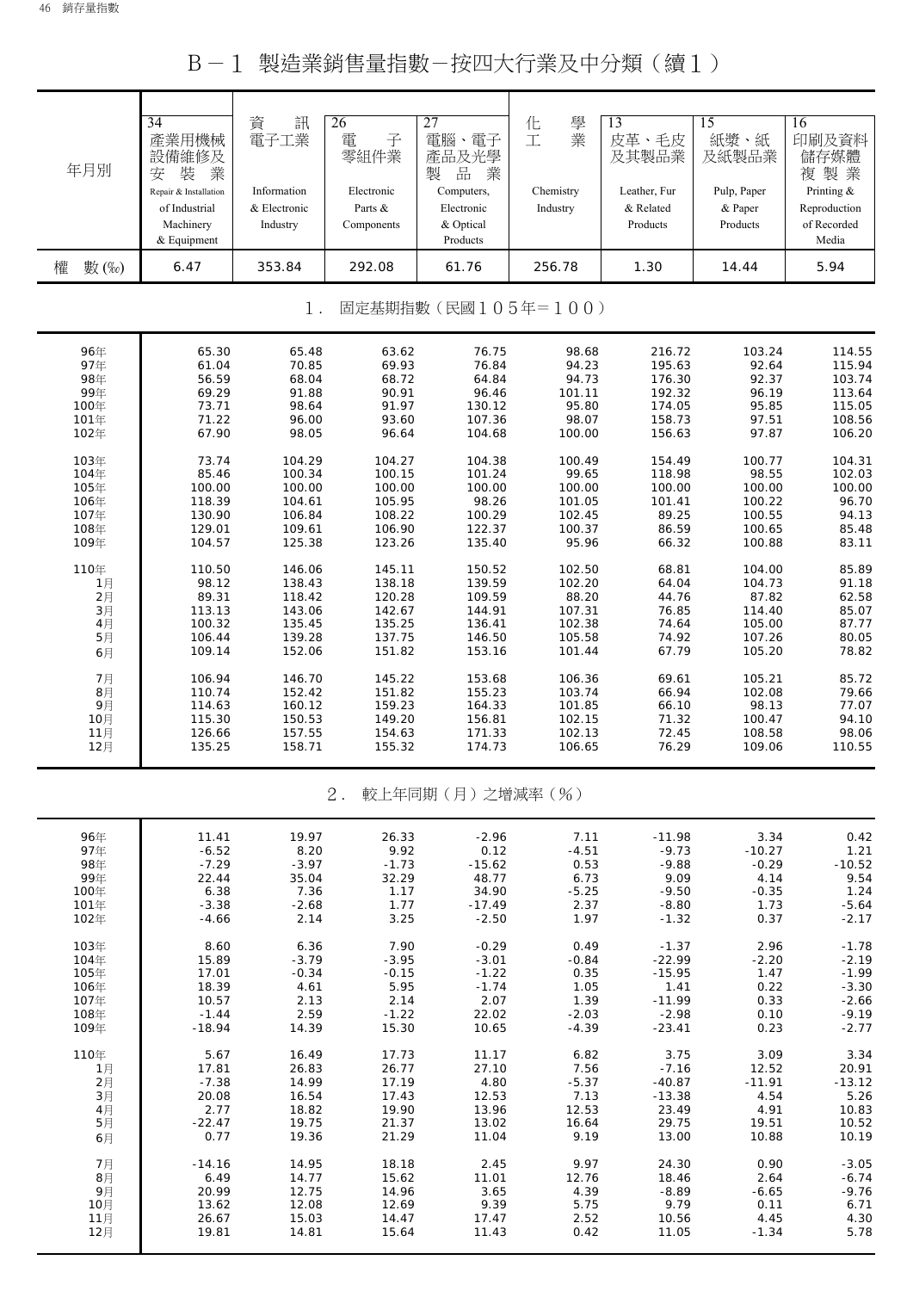B-1 製造業銷售量指數-按四大行業及中分類(續1)

| 年月別        | $\overline{34}$<br>產業用機械<br>設備維修及<br>裝<br>業<br>安<br>Repair & Installation<br>of Industrial<br>Machinery<br>& Equipment | 資<br>訊<br>電子工業<br>Information<br>& Electronic<br>Industry | 26<br>電<br>子<br>零組件業<br>Electronic<br>Parts &<br>Components | 27<br>電腦、電子<br>產品及光學<br>製<br>品<br>業<br>Computers,<br>Electronic<br>& Optical<br>Products | 學<br>化<br>業<br>工<br>Chemistry<br>Industry | 13<br>皮革、毛皮<br>及其製品業<br>Leather, Fur<br>& Related<br>Products | 15<br>紙漿、紙<br>及紙製品業<br>Pulp, Paper<br>& Paper<br>Products | 16<br>印刷及資料<br>儲存媒體<br>複製業<br>Printing &<br>Reproduction<br>of Recorded<br>Media |
|------------|------------------------------------------------------------------------------------------------------------------------|-----------------------------------------------------------|-------------------------------------------------------------|------------------------------------------------------------------------------------------|-------------------------------------------|---------------------------------------------------------------|-----------------------------------------------------------|----------------------------------------------------------------------------------|
| 權<br>數 (‰) | 6.47                                                                                                                   | 353.84                                                    | 292.08                                                      | 61.76                                                                                    | 256.78                                    | 1.30                                                          | 14.44                                                     | 5.94                                                                             |
|            |                                                                                                                        | 1.                                                        |                                                             | 固定基期指數(民國105年=100)                                                                       |                                           |                                                               |                                                           |                                                                                  |
| 96年        | 65.30                                                                                                                  | 65.48                                                     | 63.62                                                       | 76.75                                                                                    | 98.68                                     | 216.72                                                        | 103.24                                                    | 114.55                                                                           |
| 97年        | 61.04                                                                                                                  | 70.85                                                     | 69.93                                                       | 76.84                                                                                    | 94.23                                     | 195.63                                                        | 92.64                                                     | 115.94                                                                           |
| 98年        | 56.59                                                                                                                  | 68.04                                                     | 68.72                                                       | 64.84                                                                                    | 94.73                                     | 176.30                                                        | 92.37                                                     | 103.74                                                                           |
| 99年        | 69.29                                                                                                                  | 91.88                                                     | 90.91                                                       | 96.46                                                                                    | 101.11                                    | 192.32                                                        | 96.19                                                     | 113.64                                                                           |
| 100年       | 73.71                                                                                                                  | 98.64                                                     | 91.97                                                       | 130.12                                                                                   | 95.80                                     | 174.05                                                        | 95.85                                                     | 115.05                                                                           |
| 101年       | 71.22                                                                                                                  | 96.00                                                     | 93.60                                                       | 107.36                                                                                   | 98.07                                     | 158.73                                                        | 97.51                                                     | 108.56                                                                           |
| 102年       | 67.90                                                                                                                  | 98.05                                                     | 96.64                                                       | 104.68                                                                                   | 100.00                                    | 156.63                                                        | 97.87                                                     | 106.20                                                                           |
| 103年       | 73.74                                                                                                                  | 104.29                                                    | 104.27                                                      | 104.38                                                                                   | 100.49                                    | 154.49                                                        | 100.77                                                    | 104.31                                                                           |
| 104年       | 85.46                                                                                                                  | 100.34                                                    | 100.15                                                      | 101.24                                                                                   | 99.65                                     | 118.98                                                        | 98.55                                                     | 102.03                                                                           |
| 105年       | 100.00                                                                                                                 | 100.00                                                    | 100.00                                                      | 100.00                                                                                   | 100.00                                    | 100.00                                                        | 100.00                                                    | 100.00                                                                           |
| 106年       | 118.39                                                                                                                 | 104.61                                                    | 105.95                                                      | 98.26                                                                                    | 101.05                                    | 101.41                                                        | 100.22                                                    | 96.70                                                                            |
| 107年       | 130.90                                                                                                                 | 106.84                                                    | 108.22                                                      | 100.29                                                                                   | 102.45                                    | 89.25                                                         | 100.55                                                    | 94.13                                                                            |
| 108年       | 129.01                                                                                                                 | 109.61                                                    | 106.90                                                      | 122.37                                                                                   | 100.37                                    | 86.59                                                         | 100.65                                                    | 85.48                                                                            |
| 109年       | 104.57                                                                                                                 | 125.38                                                    | 123.26                                                      | 135.40                                                                                   | 95.96                                     | 66.32                                                         | 100.88                                                    | 83.11                                                                            |
| 110年       | 110.50                                                                                                                 | 146.06                                                    | 145.11                                                      | 150.52                                                                                   | 102.50                                    | 68.81                                                         | 104.00                                                    | 85.89                                                                            |
| 1月         | 98.12                                                                                                                  | 138.43                                                    | 138.18                                                      | 139.59                                                                                   | 102.20                                    | 64.04                                                         | 104.73                                                    | 91.18                                                                            |
| 2月         | 89.31                                                                                                                  | 118.42                                                    | 120.28                                                      | 109.59                                                                                   | 88.20                                     | 44.76                                                         | 87.82                                                     | 62.58                                                                            |
| 3月         | 113.13                                                                                                                 | 143.06                                                    | 142.67                                                      | 144.91                                                                                   | 107.31                                    | 76.85                                                         | 114.40                                                    | 85.07                                                                            |
| 4月         | 100.32                                                                                                                 | 135.45                                                    | 135.25                                                      | 136.41                                                                                   | 102.38                                    | 74.64                                                         | 105.00                                                    | 87.77                                                                            |
| 5月         | 106.44                                                                                                                 | 139.28                                                    | 137.75                                                      | 146.50                                                                                   | 105.58                                    | 74.92                                                         | 107.26                                                    | 80.05                                                                            |
| 6月         | 109.14                                                                                                                 | 152.06                                                    | 151.82                                                      | 153.16                                                                                   | 101.44                                    | 67.79                                                         | 105.20                                                    | 78.82                                                                            |
| 7月         | 106.94                                                                                                                 | 146.70                                                    | 145.22                                                      | 153.68                                                                                   | 106.36                                    | 69.61                                                         | 105.21                                                    | 85.72                                                                            |
| 8月         | 110.74                                                                                                                 | 152.42                                                    | 151.82                                                      | 155.23                                                                                   | 103.74                                    | 66.94                                                         | 102.08                                                    | 79.66                                                                            |
| 9月         | 114.63                                                                                                                 | 160.12                                                    | 159.23                                                      | 164.33                                                                                   | 101.85                                    | 66.10                                                         | 98.13                                                     | 77.07                                                                            |
| 10月        | 115.30                                                                                                                 | 150.53                                                    | 149.20                                                      | 156.81                                                                                   | 102.15                                    | 71.32                                                         | 100.47                                                    | 94.10                                                                            |
| 11月        | 126.66                                                                                                                 | 157.55                                                    | 154.63                                                      | 171.33                                                                                   | 102.13                                    | 72.45                                                         | 108.58                                                    | 98.06                                                                            |
| 12月        | 135.25                                                                                                                 | 158.71                                                    | 155.32                                                      | 174.73                                                                                   | 106.65                                    | 76.29                                                         | 109.06                                                    | 110.55                                                                           |
|            |                                                                                                                        |                                                           | 2.                                                          | 較上年同期(月)之增減率(%)                                                                          |                                           |                                                               |                                                           |                                                                                  |
| 96年        | 11.41                                                                                                                  | 19.97                                                     | 26.33                                                       | $-2.96$                                                                                  | 7.11                                      | $-11.98$                                                      | 3.34                                                      | 0.42                                                                             |
| 97年        | $-6.52$                                                                                                                | 8.20                                                      | 9.92                                                        | 0.12                                                                                     | $-4.51$                                   | $-9.73$                                                       | $-10.27$                                                  | 1.21                                                                             |
| 98年        | $-7.29$                                                                                                                | $-3.97$                                                   | $-1.73$                                                     | $-15.62$                                                                                 | 0.53                                      | $-9.88$                                                       | $-0.29$                                                   | $-10.52$                                                                         |
| 99年        | 22.44                                                                                                                  | 35.04                                                     | 32.29                                                       | 48.77                                                                                    | 6.73                                      | 9.09                                                          | 4.14                                                      | 9.54                                                                             |
| 100年       | 6.38                                                                                                                   | 7.36                                                      | 1.17                                                        | 34.90                                                                                    | $-5.25$                                   | $-9.50$                                                       | $-0.35$                                                   | 1.24                                                                             |
| 101年       | $-3.38$                                                                                                                | $-2.68$                                                   | 1.77                                                        | $-17.49$                                                                                 | 2.37                                      | $-8.80$                                                       | 1.73                                                      | $-5.64$                                                                          |
| 102年       | $-4.66$                                                                                                                | 2.14                                                      | 3.25                                                        | $-2.50$                                                                                  | 1.97                                      | $-1.32$                                                       | 0.37                                                      | $-2.17$                                                                          |
| 103年       | 8.60                                                                                                                   | 6.36                                                      | 7.90                                                        | $-0.29$                                                                                  | 0.49                                      | $-1.37$                                                       | 2.96                                                      | $-1.78$                                                                          |
| 104年       | 15.89                                                                                                                  | $-3.79$                                                   | $-3.95$                                                     | $-3.01$                                                                                  | $-0.84$                                   | $-22.99$                                                      | $-2.20$                                                   | $-2.19$                                                                          |
| 105年       | 17.01                                                                                                                  | $-0.34$                                                   | $-0.15$                                                     | $-1.22$                                                                                  | 0.35                                      | $-15.95$                                                      | 1.47                                                      | $-1.99$                                                                          |
| 106年       | 18.39                                                                                                                  | 4.61                                                      | 5.95                                                        | $-1.74$                                                                                  | 1.05                                      | 1.41                                                          | 0.22                                                      | $-3.30$                                                                          |
| 107年       | 10.57                                                                                                                  | 2.13                                                      | 2.14                                                        | 2.07                                                                                     | 1.39                                      | $-11.99$                                                      | 0.33                                                      | $-2.66$                                                                          |
| 108年       | $-1.44$                                                                                                                | 2.59                                                      | $-1.22$                                                     | 22.02                                                                                    | $-2.03$                                   | $-2.98$                                                       | 0.10                                                      | $-9.19$                                                                          |
| 109年       | $-18.94$                                                                                                               | 14.39                                                     | 15.30                                                       | 10.65                                                                                    | $-4.39$                                   | $-23.41$                                                      | 0.23                                                      | $-2.77$                                                                          |
| 110年       | 5.67                                                                                                                   | 16.49                                                     | 17.73                                                       | 11.17                                                                                    | 6.82                                      | 3.75                                                          | 3.09                                                      | 3.34                                                                             |
| 1月         | 17.81                                                                                                                  | 26.83                                                     | 26.77                                                       | 27.10                                                                                    | 7.56                                      | $-7.16$                                                       | 12.52                                                     | 20.91                                                                            |
| 2月         | $-7.38$                                                                                                                | 14.99                                                     | 17.19                                                       | 4.80                                                                                     | $-5.37$                                   | $-40.87$                                                      | $-11.91$                                                  | $-13.12$                                                                         |
| 3月         | 20.08                                                                                                                  | 16.54                                                     | 17.43                                                       | 12.53                                                                                    | 7.13                                      | $-13.38$                                                      | 4.54                                                      | 5.26                                                                             |
| 4月         | 2.77                                                                                                                   | 18.82                                                     | 19.90                                                       | 13.96                                                                                    | 12.53                                     | 23.49                                                         | 4.91                                                      | 10.83                                                                            |
| 5月         | $-22.47$                                                                                                               | 19.75                                                     | 21.37                                                       | 13.02                                                                                    | 16.64                                     | 29.75                                                         | 19.51                                                     | 10.52                                                                            |
| 6月         | 0.77                                                                                                                   | 19.36                                                     | 21.29                                                       | 11.04                                                                                    | 9.19                                      | 13.00                                                         | 10.88                                                     | 10.19                                                                            |
| 7月         | $-14.16$                                                                                                               | 14.95                                                     | 18.18                                                       | 2.45                                                                                     | 9.97                                      | 24.30                                                         | 0.90                                                      | $-3.05$                                                                          |
| 8月         | 6.49                                                                                                                   | 14.77                                                     | 15.62                                                       | 11.01                                                                                    | 12.76                                     | 18.46                                                         | 2.64                                                      | $-6.74$                                                                          |
| 9月         | 20.99                                                                                                                  | 12.75                                                     | 14.96                                                       | 3.65                                                                                     | 4.39                                      | $-8.89$                                                       | $-6.65$                                                   | $-9.76$                                                                          |
| 10月        | 13.62                                                                                                                  | 12.08                                                     | 12.69                                                       | 9.39                                                                                     | 5.75                                      | 9.79                                                          | 0.11                                                      | 6.71                                                                             |
| 11月        | 26.67                                                                                                                  | 15.03                                                     | 14.47                                                       | 17.47                                                                                    | 2.52                                      | 10.56                                                         | 4.45                                                      | 4.30                                                                             |

12月 19.81 14.81 15.64 11.43 0.42 11.05 -1.34 5.78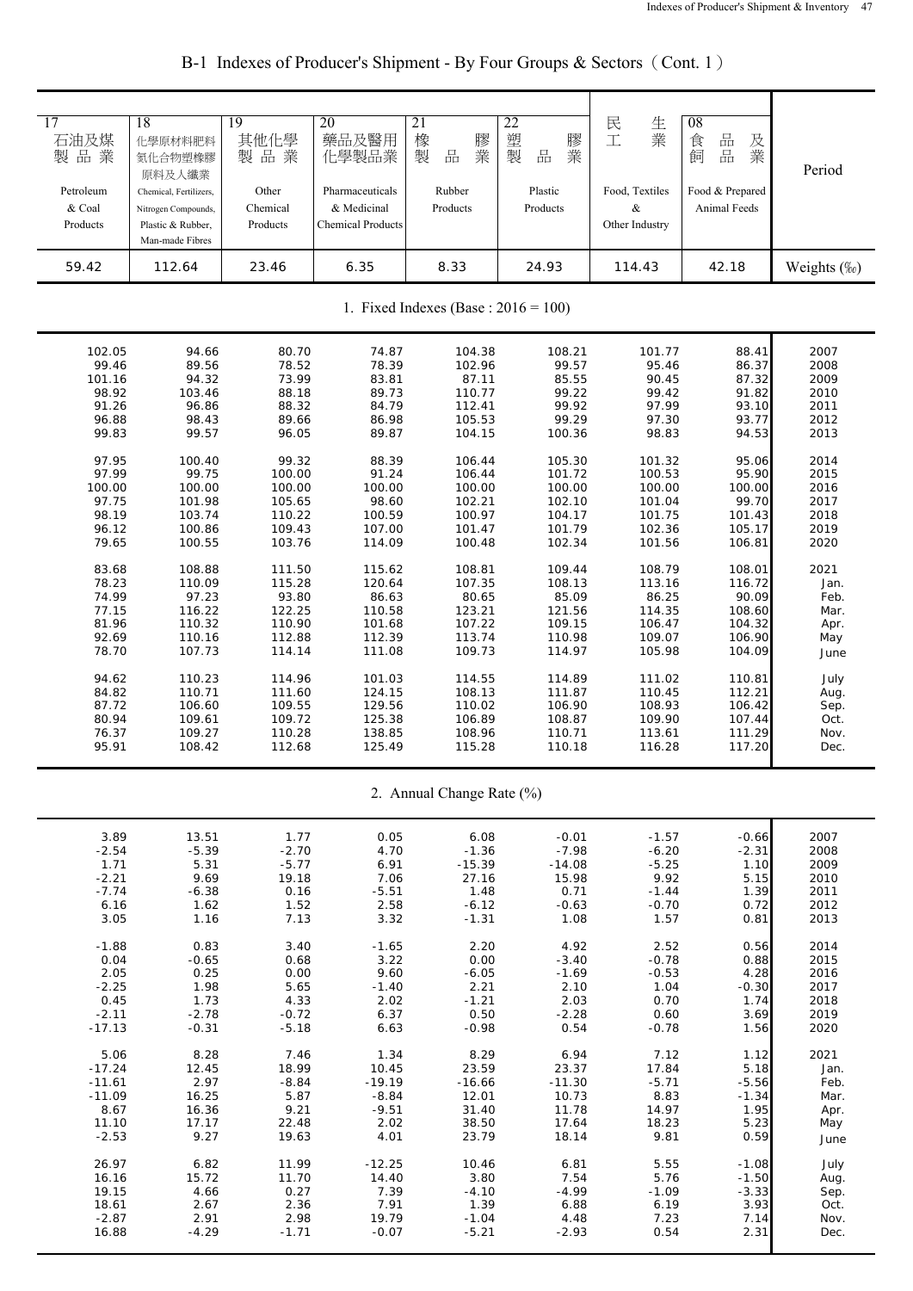| 17<br>石油及煤<br>製品業<br>Petroleum<br>& Coal<br>Products | 18<br>化學原材料肥料<br>氮化合物塑橡膠<br>原料及人纖業<br>Chemical, Fertilizers,<br>Nitrogen Compounds,<br>Plastic & Rubber,<br>Man-made Fibres | 19<br>其他化學<br>製品業<br>Other<br>Chemical<br>Products | 20<br>藥品及醫用<br>化學製品業<br>Pharmaceuticals<br>& Medicinal<br><b>Chemical Products</b> | 21<br>橡<br>膠<br>業<br>$\frac{\Box}{\Box \Box}$<br>製<br>Rubber<br>Products | 22<br>塑<br>膠<br>業<br>製<br>品<br>Plastic<br>Products | 生業<br>民<br>工<br>Food, Textiles<br>&<br>Other Industry | 08<br>品<br>食<br>及<br>品<br>業<br>飼<br>Food & Prepared<br>Animal Feeds | Period      |  |
|------------------------------------------------------|-----------------------------------------------------------------------------------------------------------------------------|----------------------------------------------------|------------------------------------------------------------------------------------|--------------------------------------------------------------------------|----------------------------------------------------|-------------------------------------------------------|---------------------------------------------------------------------|-------------|--|
| 59.42                                                | 112.64                                                                                                                      | 23.46                                              | 6.35                                                                               | 8.33                                                                     | 24.93                                              | 114.43                                                | 42.18                                                               | Weights (%) |  |
|                                                      | 1. Fixed Indexes (Base : $2016 = 100$ )                                                                                     |                                                    |                                                                                    |                                                                          |                                                    |                                                       |                                                                     |             |  |
| 102.05                                               | 94.66                                                                                                                       | 80.70                                              | 74.87                                                                              | 104.38                                                                   | 108.21                                             | 101.77                                                | 88.41                                                               | 2007        |  |
| 99.46                                                | 89.56                                                                                                                       | 78.52                                              | 78.39                                                                              | 102.96                                                                   | 99.57                                              | 95.46                                                 | 86.37                                                               | 2008        |  |
| 101.16                                               | 94.32                                                                                                                       | 73.99                                              | 83.81                                                                              | 87.11                                                                    | 85.55                                              | 90.45                                                 | 87.32                                                               | 2009        |  |
| 98.92                                                | 103.46                                                                                                                      | 88.18                                              | 89.73                                                                              | 110.77                                                                   | 99.22                                              | 99.42                                                 | 91.82                                                               | 2010        |  |
| 91.26                                                | 96.86                                                                                                                       | 88.32                                              | 84.79                                                                              | 112.41                                                                   | 99.92                                              | 97.99                                                 | 93.10                                                               | 2011        |  |
| 96.88                                                | 98.43                                                                                                                       | 89.66                                              | 86.98                                                                              | 105.53                                                                   | 99.29                                              | 97.30                                                 | 93.77                                                               | 2012        |  |
| 99.83                                                | 99.57                                                                                                                       | 96.05                                              | 89.87                                                                              | 104.15                                                                   | 100.36                                             | 98.83                                                 | 94.53                                                               | 2013        |  |
| 97.95                                                | 100.40                                                                                                                      | 99.32                                              | 88.39                                                                              | 106.44                                                                   | 105.30                                             | 101.32                                                | 95.06                                                               | 2014        |  |
| 97.99                                                | 99.75                                                                                                                       | 100.00                                             | 91.24                                                                              | 106.44                                                                   | 101.72                                             | 100.53                                                | 95.90                                                               | 2015        |  |
| 100.00                                               | 100.00                                                                                                                      | 100.00                                             | 100.00                                                                             | 100.00                                                                   | 100.00                                             | 100.00                                                | 100.00                                                              | 2016        |  |
| 97.75                                                | 101.98                                                                                                                      | 105.65                                             | 98.60                                                                              | 102.21                                                                   | 102.10                                             | 101.04                                                | 99.70                                                               | 2017        |  |
| 98.19                                                | 103.74                                                                                                                      | 110.22                                             | 100.59                                                                             | 100.97                                                                   | 104.17                                             | 101.75                                                | 101.43                                                              | 2018        |  |
| 96.12                                                | 100.86                                                                                                                      | 109.43                                             | 107.00                                                                             | 101.47                                                                   | 101.79                                             | 102.36                                                | 105.17                                                              | 2019        |  |
| 79.65                                                | 100.55                                                                                                                      | 103.76                                             | 114.09                                                                             | 100.48                                                                   | 102.34                                             | 101.56                                                | 106.81                                                              | 2020        |  |
| 83.68                                                | 108.88                                                                                                                      | 111.50                                             | 115.62                                                                             | 108.81                                                                   | 109.44                                             | 108.79                                                | 108.01                                                              | 2021        |  |
| 78.23                                                | 110.09                                                                                                                      | 115.28                                             | 120.64                                                                             | 107.35                                                                   | 108.13                                             | 113.16                                                | 116.72                                                              | Jan.        |  |
| 74.99                                                | 97.23                                                                                                                       | 93.80                                              | 86.63                                                                              | 80.65                                                                    | 85.09                                              | 86.25                                                 | 90.09                                                               | Feb.        |  |
| 77.15                                                | 116.22                                                                                                                      | 122.25                                             | 110.58                                                                             | 123.21                                                                   | 121.56                                             | 114.35                                                | 108.60                                                              | Mar.        |  |
| 81.96                                                | 110.32                                                                                                                      | 110.90                                             | 101.68                                                                             | 107.22                                                                   | 109.15                                             | 106.47                                                | 104.32                                                              | Apr.        |  |
| 92.69                                                | 110.16                                                                                                                      | 112.88                                             | 112.39                                                                             | 113.74                                                                   | 110.98                                             | 109.07                                                | 106.90                                                              | May         |  |
| 78.70                                                | 107.73                                                                                                                      | 114.14                                             | 111.08                                                                             | 109.73                                                                   | 114.97                                             | 105.98                                                | 104.09                                                              | June        |  |
| 94.62                                                | 110.23                                                                                                                      | 114.96                                             | 101.03                                                                             | 114.55                                                                   | 114.89                                             | 111.02                                                | 110.81                                                              | July        |  |
| 84.82                                                | 110.71                                                                                                                      | 111.60                                             | 124.15                                                                             | 108.13                                                                   | 111.87                                             | 110.45                                                | 112.21                                                              | Aug.        |  |
| 87.72                                                | 106.60                                                                                                                      | 109.55                                             | 129.56                                                                             | 110.02                                                                   | 106.90                                             | 108.93                                                | 106.42                                                              | Sep.        |  |
| 80.94                                                | 109.61                                                                                                                      | 109.72                                             | 125.38                                                                             | 106.89                                                                   | 108.87                                             | 109.90                                                | 107.44                                                              | Oct.        |  |
| 76.37                                                | 109.27                                                                                                                      | 110.28                                             | 138.85                                                                             | 108.96                                                                   | 110.71                                             | 113.61                                                | 111.29                                                              | Nov.        |  |
| 95.91                                                | 108.42                                                                                                                      | 112.68                                             | 125.49                                                                             | 115.28                                                                   | 110.18                                             | 116.28                                                | 117.20                                                              | Dec.        |  |
|                                                      |                                                                                                                             |                                                    |                                                                                    | 2. Annual Change Rate (%)                                                |                                                    |                                                       |                                                                     |             |  |
| 3.89                                                 | 13.51                                                                                                                       | 1.77                                               | 0.05                                                                               | 6.08                                                                     | $-0.01$                                            | $-1.57$                                               | $-0.66$                                                             | 2007        |  |
| $-2.54$                                              | $-5.39$                                                                                                                     | $-2.70$                                            | 4.70                                                                               | $-1.36$                                                                  | $-7.98$                                            | $-6.20$                                               | $-2.31$                                                             | 2008        |  |
| 1.71                                                 | 5.31                                                                                                                        | $-5.77$                                            | 6.91                                                                               | $-15.39$                                                                 | $-14.08$                                           | $-5.25$                                               | 1.10                                                                | 2009        |  |
| $-2.21$                                              | 9.69                                                                                                                        | 19.18                                              | 7.06                                                                               | 27.16                                                                    | 15.98                                              | 9.92                                                  | 5.15                                                                | 2010        |  |
| $-7.74$                                              | $-6.38$                                                                                                                     | 0.16                                               | $-5.51$                                                                            | 1.48                                                                     | 0.71                                               | $-1.44$                                               | 1.39                                                                | 2011        |  |
| 6.16                                                 | 1.62                                                                                                                        | 1.52                                               | 2.58                                                                               | $-6.12$                                                                  | $-0.63$                                            | $-0.70$                                               | 0.72                                                                | 2012        |  |
| 3.05                                                 | 1.16                                                                                                                        | 7.13                                               | 3.32                                                                               | $-1.31$                                                                  | 1.08                                               | 1.57                                                  | 0.81                                                                | 2013        |  |
| $-1.88$                                              | 0.83                                                                                                                        | 3.40                                               | $-1.65$                                                                            | 2.20                                                                     | 4.92                                               | 2.52                                                  | 0.56                                                                | 2014        |  |
| 0.04                                                 | $-0.65$                                                                                                                     | 0.68                                               | 3.22                                                                               | 0.00                                                                     | $-3.40$                                            | $-0.78$                                               | 0.88                                                                | 2015        |  |
| 2.05                                                 | 0.25                                                                                                                        | 0.00                                               | 9.60                                                                               | $-6.05$                                                                  | $-1.69$                                            | $-0.53$                                               | 4.28                                                                | 2016        |  |
| $-2.25$                                              | 1.98                                                                                                                        | 5.65                                               | $-1.40$                                                                            | 2.21                                                                     | 2.10                                               | 1.04                                                  | $-0.30$                                                             | 2017        |  |
| 0.45                                                 | 1.73                                                                                                                        | 4.33                                               | 2.02                                                                               | $-1.21$                                                                  | 2.03                                               | 0.70                                                  | 1.74                                                                | 2018        |  |
| $-2.11$                                              | $-2.78$                                                                                                                     | $-0.72$                                            | 6.37                                                                               | 0.50                                                                     | $-2.28$                                            | 0.60                                                  | 3.69                                                                | 2019        |  |
| $-17.13$                                             | $-0.31$                                                                                                                     | $-5.18$                                            | 6.63                                                                               | $-0.98$                                                                  | 0.54                                               | $-0.78$                                               | 1.56                                                                | 2020        |  |
| 5.06                                                 | 8.28                                                                                                                        | 7.46                                               | 1.34                                                                               | 8.29                                                                     | 6.94                                               | 7.12                                                  | 1.12                                                                | 2021        |  |
| $-17.24$                                             | 12.45                                                                                                                       | 18.99                                              | 10.45                                                                              | 23.59                                                                    | 23.37                                              | 17.84                                                 | 5.18                                                                | Jan.        |  |
| $-11.61$                                             | 2.97                                                                                                                        | $-8.84$                                            | $-19.19$                                                                           | $-16.66$                                                                 | $-11.30$                                           | $-5.71$                                               | $-5.56$                                                             | Feb.        |  |
| $-11.09$                                             | 16.25                                                                                                                       | 5.87                                               | $-8.84$                                                                            | 12.01                                                                    | 10.73                                              | 8.83                                                  | $-1.34$                                                             | Mar.        |  |
| 8.67                                                 | 16.36                                                                                                                       | 9.21                                               | $-9.51$                                                                            | 31.40                                                                    | 11.78                                              | 14.97                                                 | 1.95                                                                | Apr.        |  |
| 11.10                                                | 17.17                                                                                                                       | 22.48                                              | 2.02                                                                               | 38.50                                                                    | 17.64                                              | 18.23                                                 | 5.23                                                                | May         |  |
| $-2.53$                                              | 9.27                                                                                                                        | 19.63                                              | 4.01                                                                               | 23.79                                                                    | 18.14                                              | 9.81                                                  | 0.59                                                                | June        |  |
| 26.97                                                | 6.82                                                                                                                        | 11.99                                              | $-12.25$                                                                           | 10.46                                                                    | 6.81                                               | 5.55                                                  | $-1.08$                                                             | July        |  |
| 16.16                                                | 15.72                                                                                                                       | 11.70                                              | 14.40                                                                              | 3.80                                                                     | 7.54                                               | 5.76                                                  | $-1.50$                                                             | Aug.        |  |
| 19.15                                                | 4.66                                                                                                                        | 0.27                                               | 7.39                                                                               | $-4.10$                                                                  | $-4.99$                                            | $-1.09$                                               | $-3.33$                                                             | Sep.        |  |
| 18.61                                                | 2.67                                                                                                                        | 2.36                                               | 7.91                                                                               | 1.39                                                                     | 6.88                                               | 6.19                                                  | 3.93                                                                | Oct.        |  |
| $-2.87$                                              | 2.91                                                                                                                        | 2.98                                               | 19.79                                                                              | $-1.04$                                                                  | 4.48                                               | 7.23                                                  | 7.14                                                                | Nov.        |  |
| 16.88                                                | $-4.29$                                                                                                                     | $-1.71$                                            | $-0.07$                                                                            | $-5.21$                                                                  | $-2.93$                                            | 0.54                                                  | 2.31                                                                | Dec.        |  |

B-1 Indexes of Producer's Shipment - By Four Groups & Sectors (Cont. 1)